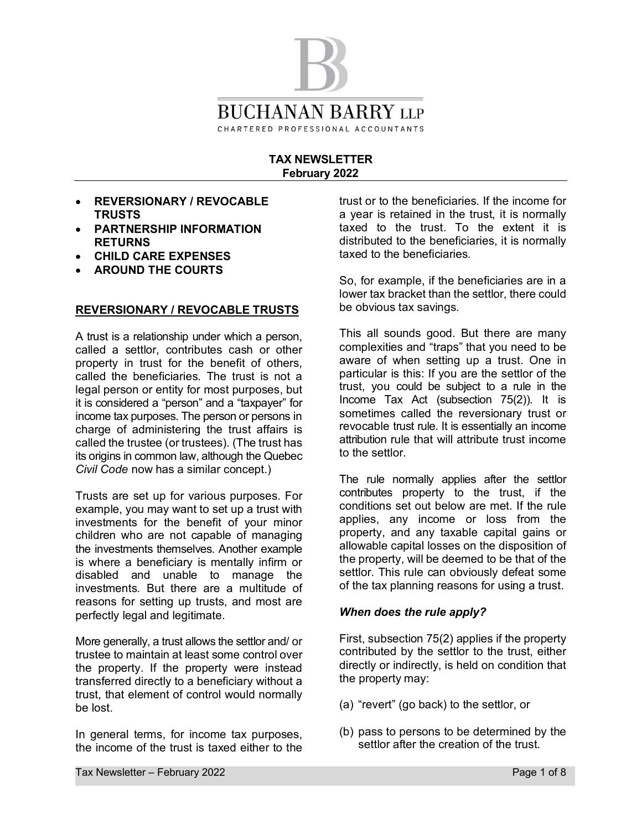

### **TAX NEWSLETTER February 2022**

- · **REVERSIONARY / REVOCABLE TRUSTS**
- · **PARTNERSHIP INFORMATION RETURNS**
- · **CHILD CARE EXPENSES**
- · **AROUND THE COURTS**

#### **REVERSIONARY / REVOCABLE TRUSTS**

A trust is a relationship under which a person, called a settlor, contributes cash or other property in trust for the benefit of others, called the beneficiaries. The trust is not a legal person or entity for most purposes, but it is considered a "person" and a "taxpayer" for income tax purposes. The person or persons in charge of administering the trust affairs is called the trustee (or trustees). (The trust has its origins in common law, although the Quebec *Civil Code* now has a similar concept.)

Trusts are set up for various purposes. For example, you may want to set up a trust with investments for the benefit of your minor children who are not capable of managing the investments themselves. Another example is where a beneficiary is mentally infirm or disabled and unable to manage the investments. But there are a multitude of reasons for setting up trusts, and most are perfectly legal and legitimate.

More generally, a trust allows the settlor and/ or trustee to maintain at least some control over the property. If the property were instead transferred directly to a beneficiary without a trust, that element of control would normally be lost.

In general terms, for income tax purposes, the income of the trust is taxed either to the trust or to the beneficiaries. If the income for a year is retained in the trust, it is normally taxed to the trust. To the extent it is distributed to the beneficiaries, it is normally taxed to the beneficiaries.

So, for example, if the beneficiaries are in a lower tax bracket than the settlor, there could be obvious tax savings.

This all sounds good. But there are many complexities and "traps" that you need to be aware of when setting up a trust. One in particular is this: If you are the settlor of the trust, you could be subject to a rule in the Income Tax Act (subsection 75(2)). It is sometimes called the reversionary trust or revocable trust rule. It is essentially an income attribution rule that will attribute trust income to the settlor.

The rule normally applies after the settlor contributes property to the trust, if the conditions set out below are met. If the rule applies, any income or loss from the property, and any taxable capital gains or allowable capital losses on the disposition of the property, will be deemed to be that of the settlor. This rule can obviously defeat some of the tax planning reasons for using a trust.

#### *When does the rule apply?*

First, subsection 75(2) applies if the property contributed by the settlor to the trust, either directly or indirectly, is held on condition that the property may:

- (a) "revert" (go back) to the settlor, or
- (b) pass to persons to be determined by the settlor after the creation of the trust.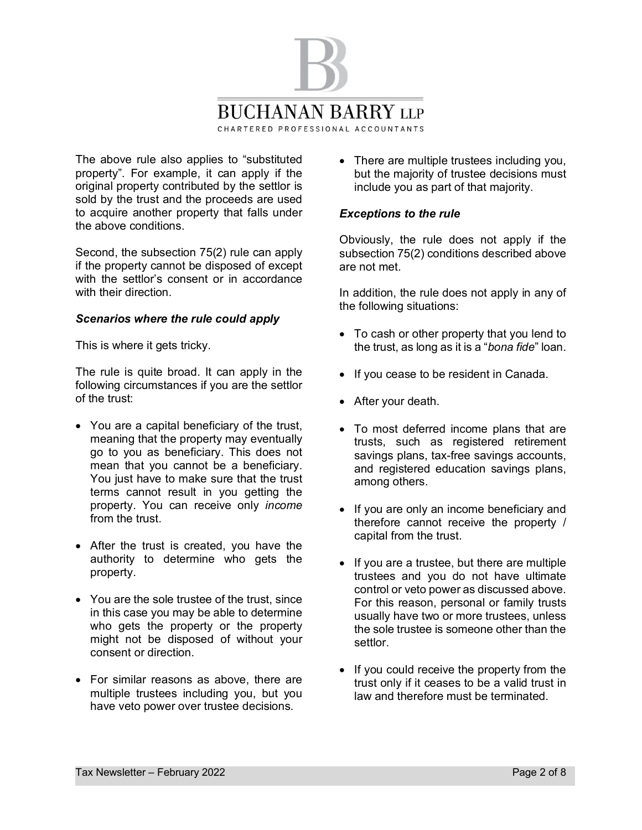

The above rule also applies to "substituted property". For example, it can apply if the original property contributed by the settlor is sold by the trust and the proceeds are used to acquire another property that falls under the above conditions.

Second, the subsection 75(2) rule can apply if the property cannot be disposed of except with the settlor's consent or in accordance with their direction

### *Scenarios where the rule could apply*

This is where it gets tricky.

The rule is quite broad. It can apply in the following circumstances if you are the settlor of the trust:

- · You are a capital beneficiary of the trust, meaning that the property may eventually go to you as beneficiary. This does not mean that you cannot be a beneficiary. You just have to make sure that the trust terms cannot result in you getting the property. You can receive only *income* from the trust.
- After the trust is created, you have the authority to determine who gets the property.
- · You are the sole trustee of the trust, since in this case you may be able to determine who gets the property or the property might not be disposed of without your consent or direction.
- · For similar reasons as above, there are multiple trustees including you, but you have veto power over trustee decisions.

• There are multiple trustees including you, but the majority of trustee decisions must include you as part of that majority.

### *Exceptions to the rule*

Obviously, the rule does not apply if the subsection 75(2) conditions described above are not met.

In addition, the rule does not apply in any of the following situations:

- · To cash or other property that you lend to the trust, as long as it is a "*bona fide*" loan.
- · If you cease to be resident in Canada.
- · After your death.
- · To most deferred income plans that are trusts, such as registered retirement savings plans, tax-free savings accounts, and registered education savings plans, among others.
- · If you are only an income beneficiary and therefore cannot receive the property / capital from the trust.
- · If you are a trustee, but there are multiple trustees and you do not have ultimate control or veto power as discussed above. For this reason, personal or family trusts usually have two or more trustees, unless the sole trustee is someone other than the settlor.
- · If you could receive the property from the trust only if it ceases to be a valid trust in law and therefore must be terminated.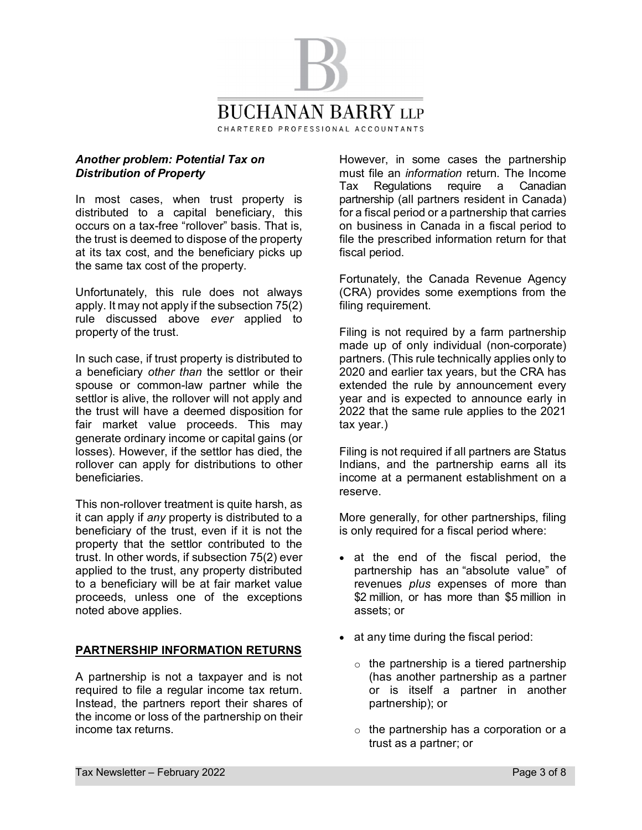

#### *Another problem: Potential Tax on Distribution of Property*

In most cases, when trust property is distributed to a capital beneficiary, this occurs on a tax-free "rollover" basis. That is, the trust is deemed to dispose of the property at its tax cost, and the beneficiary picks up the same tax cost of the property.

Unfortunately, this rule does not always apply. It may not apply if the subsection 75(2) rule discussed above *ever* applied to property of the trust.

In such case, if trust property is distributed to a beneficiary *other than* the settlor or their spouse or common-law partner while the settlor is alive, the rollover will not apply and the trust will have a deemed disposition for fair market value proceeds. This may generate ordinary income or capital gains (or losses). However, if the settlor has died, the rollover can apply for distributions to other beneficiaries.

This non-rollover treatment is quite harsh, as it can apply if *any* property is distributed to a beneficiary of the trust, even if it is not the property that the settlor contributed to the trust. In other words, if subsection 75(2) ever applied to the trust, any property distributed to a beneficiary will be at fair market value proceeds, unless one of the exceptions noted above applies.

# **PARTNERSHIP INFORMATION RETURNS**

A partnership is not a taxpayer and is not required to file a regular income tax return. Instead, the partners report their shares of the income or loss of the partnership on their income tax returns.

However, in some cases the partnership must file an *information* return. The Income Tax Regulations require a Canadian partnership (all partners resident in Canada) for a fiscal period or a partnership that carries on business in Canada in a fiscal period to file the prescribed information return for that fiscal period.

Fortunately, the Canada Revenue Agency (CRA) provides some exemptions from the filing requirement.

Filing is not required by a farm partnership made up of only individual (non-corporate) partners. (This rule technically applies only to 2020 and earlier tax years, but the CRA has extended the rule by announcement every year and is expected to announce early in 2022 that the same rule applies to the 2021 tax year.)

Filing is not required if all partners are Status Indians, and the partnership earns all its income at a permanent establishment on a reserve.

More generally, for other partnerships, filing is only required for a fiscal period where:

- · at the end of the fiscal period, the partnership has an "absolute value" of revenues *plus* expenses of more than \$2 million, or has more than \$5 million in assets; or
- at any time during the fiscal period:
	- $\circ$  the partnership is a tiered partnership (has another partnership as a partner or is itself a partner in another partnership); or
	- o the partnership has a corporation or a trust as a partner; or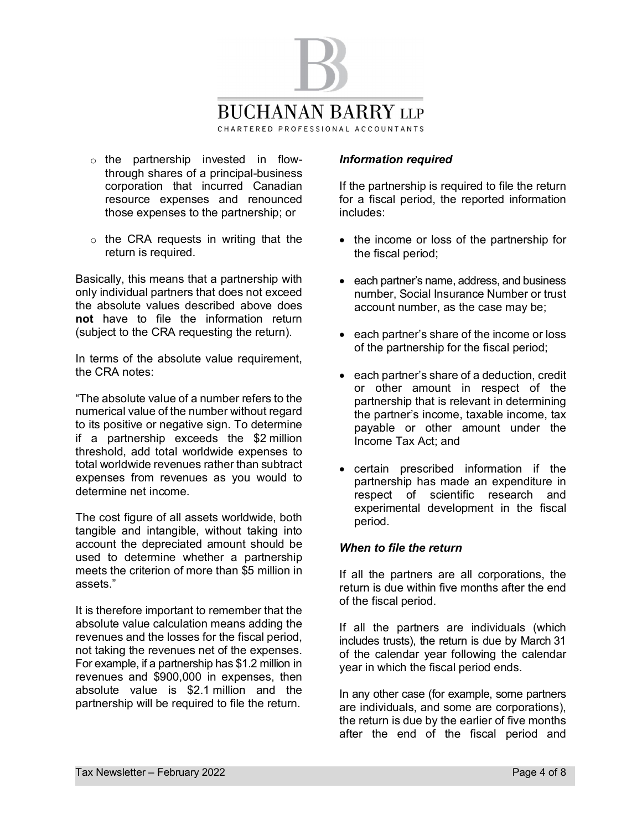

- o the partnership invested in flowthrough shares of a principal-business corporation that incurred Canadian resource expenses and renounced those expenses to the partnership; or
- o the CRA requests in writing that the return is required.

Basically, this means that a partnership with only individual partners that does not exceed the absolute values described above does **not** have to file the information return (subject to the CRA requesting the return).

In terms of the absolute value requirement, the CRA notes:

"The absolute value of a number refers to the numerical value of the number without regard to its positive or negative sign. To determine if a partnership exceeds the \$2 million threshold, add total worldwide expenses to total worldwide revenues rather than subtract expenses from revenues as you would to determine net income.

The cost figure of all assets worldwide, both tangible and intangible, without taking into account the depreciated amount should be used to determine whether a partnership meets the criterion of more than \$5 million in assets."

It is therefore important to remember that the absolute value calculation means adding the revenues and the losses for the fiscal period, not taking the revenues net of the expenses. For example, if a partnership has \$1.2 million in revenues and \$900,000 in expenses, then absolute value is \$2.1 million and the partnership will be required to file the return.

# *Information required*

If the partnership is required to file the return for a fiscal period, the reported information includes:

- · the income or loss of the partnership for the fiscal period;
- each partner's name, address, and business number, Social Insurance Number or trust account number, as the case may be;
- · each partner's share of the income or loss of the partnership for the fiscal period;
- · each partner's share of a deduction, credit or other amount in respect of the partnership that is relevant in determining the partner's income, taxable income, tax payable or other amount under the Income Tax Act; and
- · certain prescribed information if the partnership has made an expenditure in respect of scientific research and experimental development in the fiscal period.

### *When to file the return*

If all the partners are all corporations, the return is due within five months after the end of the fiscal period.

If all the partners are individuals (which includes trusts), the return is due by March 31 of the calendar year following the calendar year in which the fiscal period ends.

In any other case (for example, some partners are individuals, and some are corporations), the return is due by the earlier of five months after the end of the fiscal period and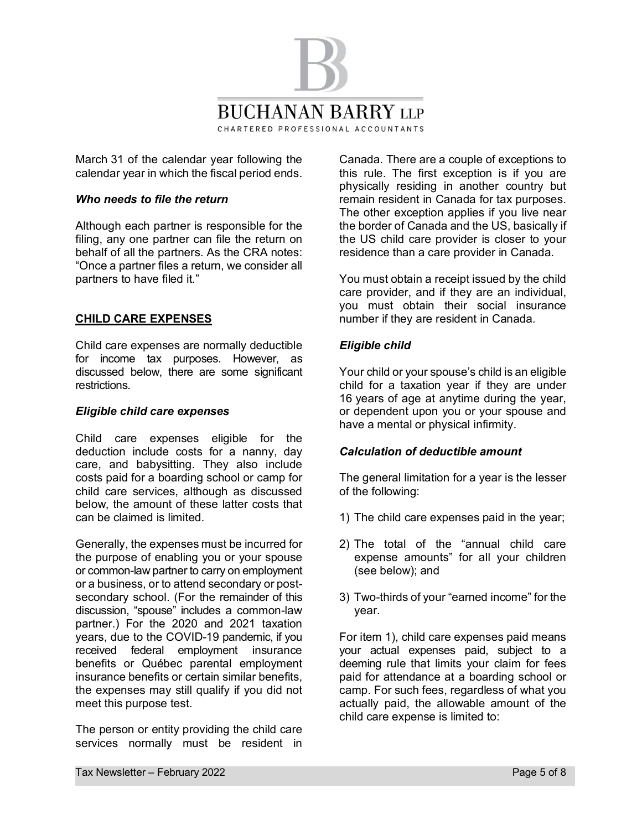

March 31 of the calendar year following the calendar year in which the fiscal period ends.

### *Who needs to file the return*

Although each partner is responsible for the filing, any one partner can file the return on behalf of all the partners. As the CRA notes: "Once a partner files a return, we consider all partners to have filed it."

### **CHILD CARE EXPENSES**

Child care expenses are normally deductible for income tax purposes. However, as discussed below, there are some significant restrictions.

#### *Eligible child care expenses*

Child care expenses eligible for the deduction include costs for a nanny, day care, and babysitting. They also include costs paid for a boarding school or camp for child care services, although as discussed below, the amount of these latter costs that can be claimed is limited.

Generally, the expenses must be incurred for the purpose of enabling you or your spouse or common-law partner to carry on employment or a business, or to attend secondary or postsecondary school. (For the remainder of this discussion, "spouse" includes a common-law partner.) For the 2020 and 2021 taxation years, due to the COVID-19 pandemic, if you received federal employment insurance benefits or Québec parental employment insurance benefits or certain similar benefits, the expenses may still qualify if you did not meet this purpose test.

The person or entity providing the child care services normally must be resident in

Canada. There are a couple of exceptions to this rule. The first exception is if you are physically residing in another country but remain resident in Canada for tax purposes. The other exception applies if you live near the border of Canada and the US, basically if the US child care provider is closer to your residence than a care provider in Canada.

You must obtain a receipt issued by the child care provider, and if they are an individual, you must obtain their social insurance number if they are resident in Canada.

#### *Eligible child*

Your child or your spouse's child is an eligible child for a taxation year if they are under 16 years of age at anytime during the year, or dependent upon you or your spouse and have a mental or physical infirmity.

#### *Calculation of deductible amount*

The general limitation for a year is the lesser of the following:

- 1) The child care expenses paid in the year;
- 2) The total of the "annual child care expense amounts" for all your children (see below); and
- 3) Two-thirds of your "earned income" for the year.

For item 1), child care expenses paid means your actual expenses paid, subject to a deeming rule that limits your claim for fees paid for attendance at a boarding school or camp. For such fees, regardless of what you actually paid, the allowable amount of the child care expense is limited to: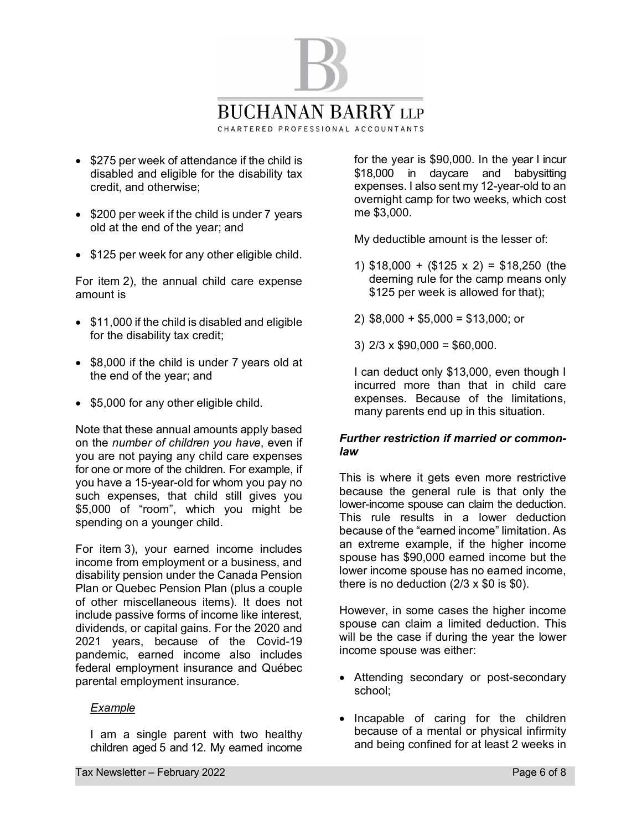

- · \$275 per week of attendance if the child is disabled and eligible for the disability tax credit, and otherwise;
- · \$200 per week if the child is under 7 years old at the end of the year; and
- \$125 per week for any other eligible child.

For item 2), the annual child care expense amount is

- · \$11,000 if the child is disabled and eligible for the disability tax credit;
- · \$8,000 if the child is under 7 years old at the end of the year; and
- · \$5,000 for any other eligible child.

Note that these annual amounts apply based on the *number of children you have*, even if you are not paying any child care expenses for one or more of the children. For example, if you have a 15-year-old for whom you pay no such expenses, that child still gives you \$5,000 of "room", which you might be spending on a younger child.

For item 3), your earned income includes income from employment or a business, and disability pension under the Canada Pension Plan or Quebec Pension Plan (plus a couple of other miscellaneous items). It does not include passive forms of income like interest, dividends, or capital gains. For the 2020 and 2021 years, because of the Covid-19 pandemic, earned income also includes federal employment insurance and Québec parental employment insurance.

#### *Example*

I am a single parent with two healthy children aged 5 and 12. My earned income for the year is \$90,000. In the year I incur \$18,000 in daycare and babysitting expenses. I also sent my 12-year-old to an overnight camp for two weeks, which cost me \$3,000.

My deductible amount is the lesser of:

- 1) \$18,000 + (\$125 x 2) = \$18,250 (the deeming rule for the camp means only \$125 per week is allowed for that);
- 2) \$8,000 + \$5,000 = \$13,000; or
- 3)  $2/3 \times $90,000 = $60,000$ .

I can deduct only \$13,000, even though I incurred more than that in child care expenses. Because of the limitations, many parents end up in this situation.

# *Further restriction if married or commonlaw*

This is where it gets even more restrictive because the general rule is that only the lower-income spouse can claim the deduction. This rule results in a lower deduction because of the "earned income" limitation. As an extreme example, if the higher income spouse has \$90,000 earned income but the lower income spouse has no earned income, there is no deduction  $(2/3 \times $0)$  is  $$0)$ .

However, in some cases the higher income spouse can claim a limited deduction. This will be the case if during the year the lower income spouse was either:

- · Attending secondary or post-secondary school;
- · Incapable of caring for the children because of a mental or physical infirmity and being confined for at least 2 weeks in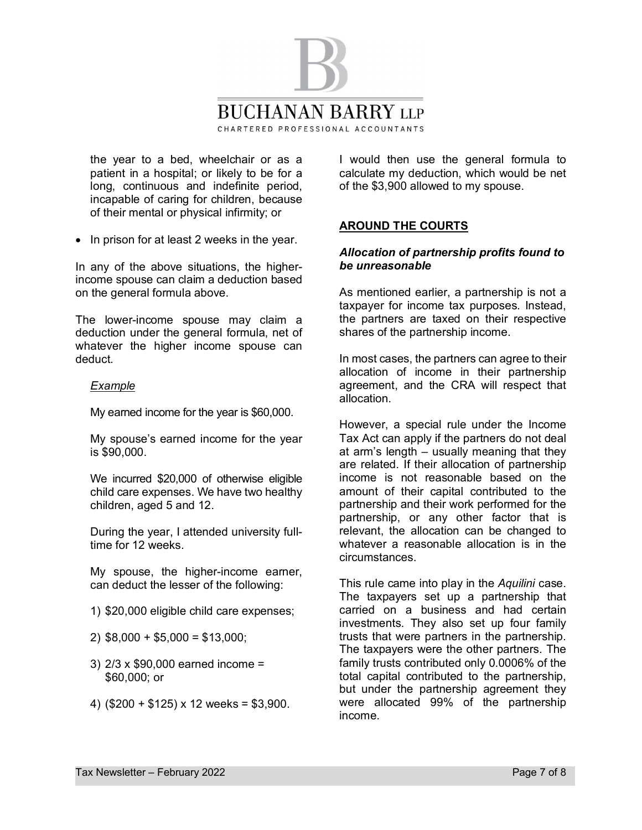

the year to a bed, wheelchair or as a patient in a hospital; or likely to be for a long, continuous and indefinite period, incapable of caring for children, because of their mental or physical infirmity; or

· In prison for at least 2 weeks in the year.

In any of the above situations, the higherincome spouse can claim a deduction based on the general formula above.

The lower-income spouse may claim a deduction under the general formula, net of whatever the higher income spouse can deduct.

### *Example*

My earned income for the year is \$60,000.

My spouse's earned income for the year is \$90,000.

We incurred \$20,000 of otherwise eligible child care expenses. We have two healthy children, aged 5 and 12.

During the year, I attended university fulltime for 12 weeks.

My spouse, the higher-income earner, can deduct the lesser of the following:

- 1) \$20,000 eligible child care expenses;
- 2) \$8,000 + \$5,000 = \$13,000;
- 3) 2/3 x \$90,000 earned income = \$60,000; or
- 4) (\$200 + \$125) x 12 weeks = \$3,900.

I would then use the general formula to calculate my deduction, which would be net of the \$3,900 allowed to my spouse.

# **AROUND THE COURTS**

### *Allocation of partnership profits found to be unreasonable*

As mentioned earlier, a partnership is not a taxpayer for income tax purposes. Instead, the partners are taxed on their respective shares of the partnership income.

In most cases, the partners can agree to their allocation of income in their partnership agreement, and the CRA will respect that allocation.

However, a special rule under the Income Tax Act can apply if the partners do not deal at arm's length – usually meaning that they are related. If their allocation of partnership income is not reasonable based on the amount of their capital contributed to the partnership and their work performed for the partnership, or any other factor that is relevant, the allocation can be changed to whatever a reasonable allocation is in the circumstances.

This rule came into play in the *Aquilini* case. The taxpayers set up a partnership that carried on a business and had certain investments. They also set up four family trusts that were partners in the partnership. The taxpayers were the other partners. The family trusts contributed only 0.0006% of the total capital contributed to the partnership, but under the partnership agreement they were allocated 99% of the partnership income.